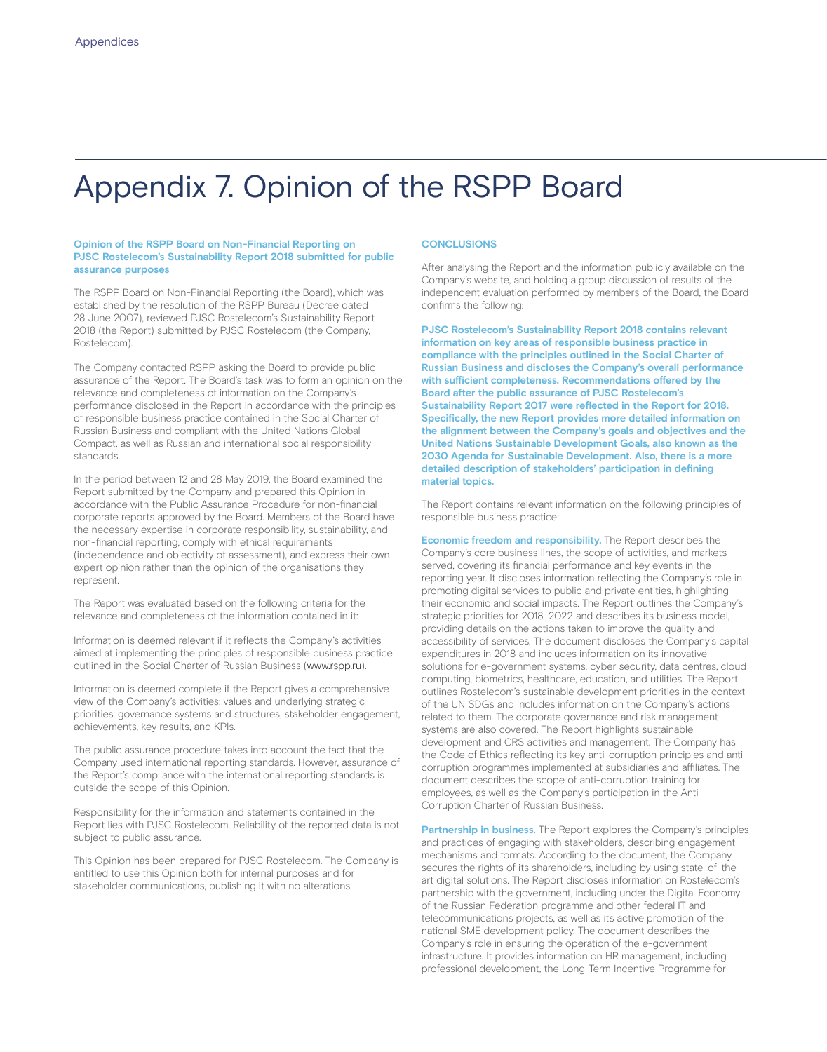# Appendix 7. Opinion of the RSPP Board

### **Opinion of the RSPP Board on Non-Financial Reporting on PJSC Rostelecom's Sustainability Report 2018 submitted for public assurance purposes**

The RSPP Board on Non-Financial Reporting (the Board), which was established by the resolution of the RSPP Bureau (Decree dated 28 June 2007), reviewed PJSC Rostelecom's Sustainability Report 2018 (the Report) submitted by PJSC Rostelecom (the Company, Rostelecom).

The Company contacted RSPP asking the Board to provide public assurance of the Report. The Board's task was to form an opinion on the relevance and completeness of information on the Company's performance disclosed in the Report in accordance with the principles of responsible business practice contained in the Social Charter of Russian Business and compliant with the United Nations Global Compact, as well as Russian and international social responsibility standards.

In the period between 12 and 28 May 2019, the Board examined the Report submitted by the Company and prepared this Opinion in accordance with the Public Assurance Procedure for non-financial corporate reports approved by the Board. Members of the Board have the necessary expertise in corporate responsibility, sustainability, and non-financial reporting, comply with ethical requirements (independence and objectivity of assessment), and express their own expert opinion rather than the opinion of the organisations they represent.

The Report was evaluated based on the following criteria for the relevance and completeness of the information contained in it:

Information is deemed relevant if it reflects the Company's activities aimed at implementing the principles of responsible business practice outlined in the Social Charter of Russian Business (www.rspp.ru).

Information is deemed complete if the Report gives a comprehensive view of the Company's activities: values and underlying strategic priorities, governance systems and structures, stakeholder engagement, achievements, key results, and KPIs.

The public assurance procedure takes into account the fact that the Company used international reporting standards. However, assurance of the Report's compliance with the international reporting standards is outside the scope of this Opinion.

Responsibility for the information and statements contained in the Report lies with PJSC Rostelecom. Reliability of the reported data is not subject to public assurance.

This Opinion has been prepared for PJSC Rostelecom. The Company is entitled to use this Opinion both for internal purposes and for stakeholder communications, publishing it with no alterations.

### **CONCLUSIONS**

After analysing the Report and the information publicly available on the Company's website, and holding a group discussion of results of the independent evaluation performed by members of the Board, the Board confirms the following:

**PJSC Rostelecom's Sustainability Report 2018 contains relevant information on key areas of responsible business practice in compliance with the principles outlined in the Social Charter of Russian Business and discloses the Company's overall performance with su�cient completeness. Recommendations o�ered by the Board after the public assurance of PJSC Rostelecom's Sustainability Report 2017 were re�ected in the Report for 2018. Speci�cally, the new Report provides more detailed information on the alignment between the Company's goals and objectives and the United Nations Sustainable Development Goals, also known as the 2030 Agenda for Sustainable Development. Also, there is a more detailed description of stakeholders' participation in de�ning material topics.**

The Report contains relevant information on the following principles of responsible business practice:

**Economic freedom and responsibility.** The Report describes the Company's core business lines, the scope of activities, and markets served, covering its financial performance and key events in the reporting year. It discloses information reflecting the Company's role in promoting digital services to public and private entities, highlighting their economic and social impacts. The Report outlines the Company's strategic priorities for 2018–2022 and describes its business model, providing details on the actions taken to improve the quality and accessibility of services. The document discloses the Company's capital expenditures in 2018 and includes information on its innovative solutions for e-government systems, cyber security, data centres, cloud computing, biometrics, healthcare, education, and utilities. The Report outlines Rostelecom's sustainable development priorities in the context of the UN SDGs and includes information on the Company's actions related to them. The corporate governance and risk management systems are also covered. The Report highlights sustainable development and CRS activities and management. The Company has the Code of Ethics reflecting its key anti-corruption principles and anticorruption programmes implemented at subsidiaries and affiliates. The document describes the scope of anti-corruption training for employees, as well as the Company's participation in the Anti-Corruption Charter of Russian Business.

**Partnership in business.** The Report explores the Company's principles and practices of engaging with stakeholders, describing engagement mechanisms and formats. According to the document, the Company secures the rights of its shareholders, including by using state-of-theart digital solutions. The Report discloses information on Rostelecom's partnership with the government, including under the Digital Economy of the Russian Federation programme and other federal IT and telecommunications projects, as well as its active promotion of the national SME development policy. The document describes the Company's role in ensuring the operation of the e-government infrastructure. It provides information on HR management, including professional development, the Long-Term Incentive Programme for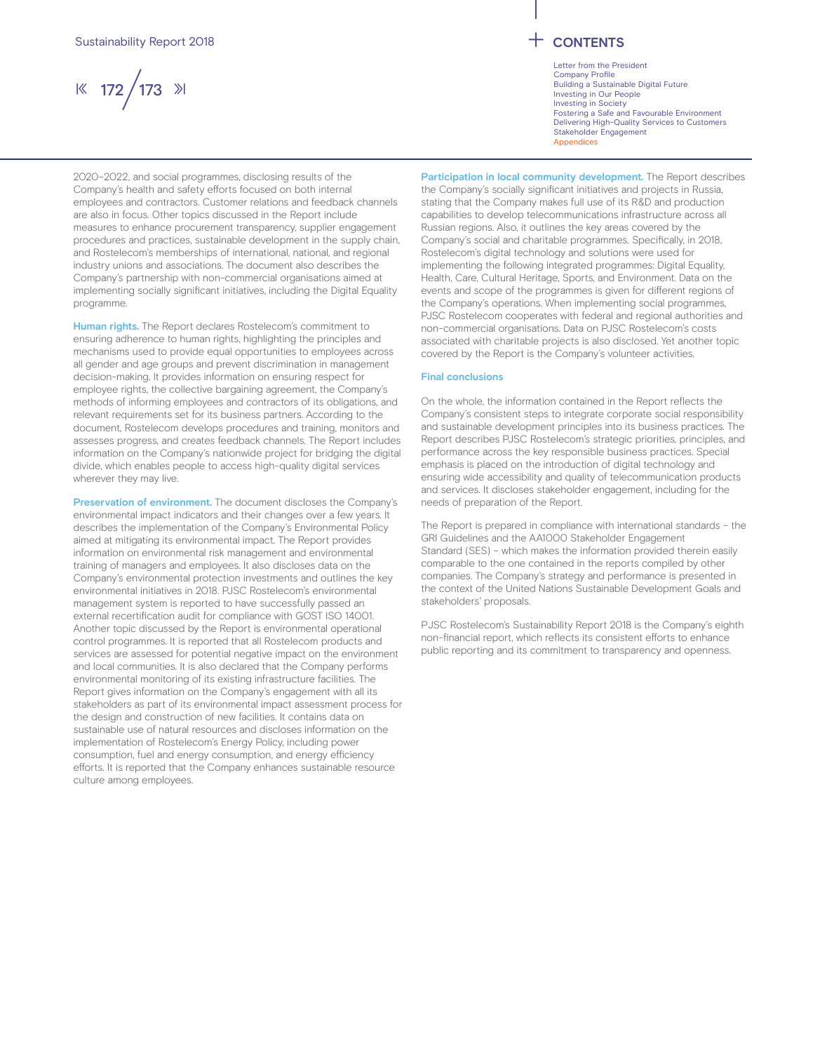$\frac{1}{8}$  172 / 173  $\frac{1}{2}$ 

Letter from the President Company Profile Building a Sustainable Digital Future Investing in Our People Investing in Society Fostering a Safe and Favourable Environment Delivering High-Quality Services to Customers Stakeholder Engagement **Appendices** 

2020–2022, and social programmes, disclosing results of the Company's health and safety efforts focused on both internal employees and contractors. Customer relations and feedback channels are also in focus. Other topics discussed in the Report include measures to enhance procurement transparency, supplier engagement procedures and practices, sustainable development in the supply chain, and Rostelecom's memberships of international, national, and regional industry unions and associations. The document also describes the Company's partnership with non-commercial organisations aimed at implementing socially significant initiatives, including the Digital Equality programme.

**Human rights.** The Report declares Rostelecom's commitment to ensuring adherence to human rights, highlighting the principles and mechanisms used to provide equal opportunities to employees across all gender and age groups and prevent discrimination in management decision-making. It provides information on ensuring respect for employee rights, the collective bargaining agreement, the Company's methods of informing employees and contractors of its obligations, and relevant requirements set for its business partners. According to the document, Rostelecom develops procedures and training, monitors and assesses progress, and creates feedback channels. The Report includes information on the Company's nationwide project for bridging the digital divide, which enables people to access high-quality digital services wherever they may live.

**Preservation of environment.** The document discloses the Company's environmental impact indicators and their changes over a few years. It describes the implementation of the Company's Environmental Policy aimed at mitigating its environmental impact. The Report provides information on environmental risk management and environmental training of managers and employees. It also discloses data on the Company's environmental protection investments and outlines the key environmental initiatives in 2018. PJSC Rostelecom's environmental management system is reported to have successfully passed an external recertification audit for compliance with GOST ISO 14001. Another topic discussed by the Report is environmental operational control programmes. It is reported that all Rostelecom products and services are assessed for potential negative impact on the environment and local communities. It is also declared that the Company performs environmental monitoring of its existing infrastructure facilities. The Report gives information on the Company's engagement with all its stakeholders as part of its environmental impact assessment process for the design and construction of new facilities. It contains data on sustainable use of natural resources and discloses information on the implementation of Rostelecom's Energy Policy, including power consumption, fuel and energy consumption, and energy efficiency efforts. It is reported that the Company enhances sustainable resource culture among employees.

**Participation in local community development.** The Report describes the Company's socially significant initiatives and projects in Russia. stating that the Company makes full use of its R&D and production capabilities to develop telecommunications infrastructure across all Russian regions. Also, it outlines the key areas covered by the Company's social and charitable programmes. Specifically, in 2018, Rostelecom's digital technology and solutions were used for implementing the following integrated programmes: Digital Equality, Health, Care, Cultural Heritage, Sports, and Environment. Data on the events and scope of the programmes is given for different regions of the Company's operations. When implementing social programmes, PJSC Rostelecom cooperates with federal and regional authorities and non-commercial organisations. Data on PJSC Rostelecom's costs associated with charitable projects is also disclosed. Yet another topic covered by the Report is the Company's volunteer activities.

## **Final conclusions**

On the whole, the information contained in the Report reflects the Company's consistent steps to integrate corporate social responsibility and sustainable development principles into its business practices. The Report describes PJSC Rostelecom's strategic priorities, principles, and performance across the key responsible business practices. Special emphasis is placed on the introduction of digital technology and ensuring wide accessibility and quality of telecommunication products and services. It discloses stakeholder engagement, including for the needs of preparation of the Report.

The Report is prepared in compliance with international standards – the GRI Guidelines and the AA1000 Stakeholder Engagement Standard (SES) – which makes the information provided therein easily comparable to the one contained in the reports compiled by other companies. The Company's strategy and performance is presented in the context of the United Nations Sustainable Development Goals and stakeholders' proposals.

PJSC Rostelecom's Sustainability Report 2018 is the Company's eighth non-financial report, which reflects its consistent efforts to enhance public reporting and its commitment to transparency and openness.